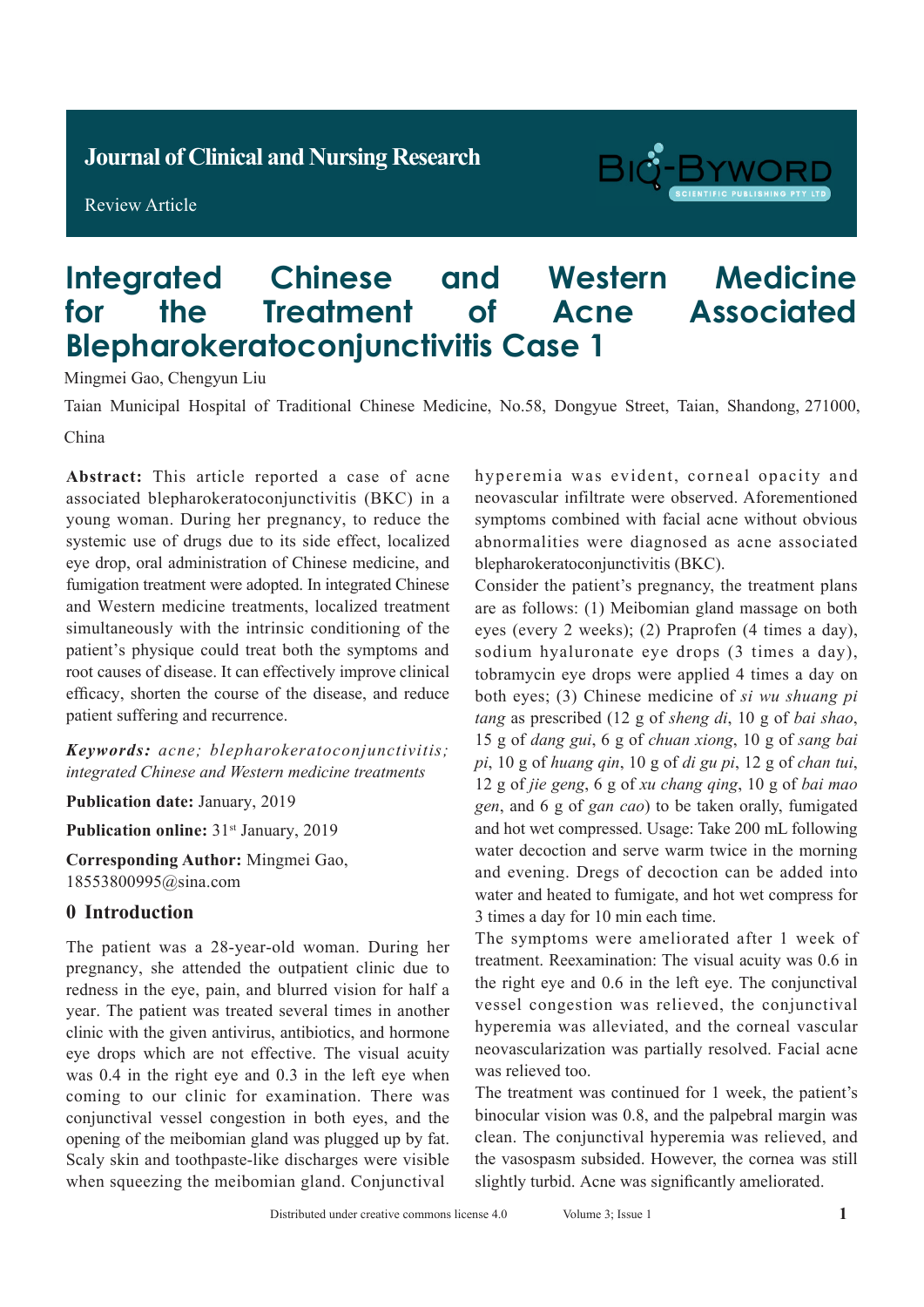**Journal of Clinical and Nursing Research**

Review Article



# **Integrated Chinese and Western Medicine for the Treatment of Acne Associated Blepharokeratoconjunctivitis Case 1**

Mingmei Gao, Chengyun Liu

Taian Municipal Hospital of Traditional Chinese Medicine, No.58, Dongyue Street, Taian, Shandong, 271000,

China

**Abstract:** This article reported a case of acne associated blepharokeratoconjunctivitis (BKC) in a young woman. During her pregnancy, to reduce the systemic use of drugs due to its side effect, localized eye drop, oral administration of Chinese medicine, and fumigation treatment were adopted. In integrated Chinese and Western medicine treatments, localized treatment simultaneously with the intrinsic conditioning of the patient's physique could treat both the symptoms and root causes of disease. It can effectively improve clinical efficacy, shorten the course of the disease, and reduce patient suffering and recurrence.

*Keywords: acne; blepharokeratoconjunctivitis; integrated Chinese and Western medicine treatments*

**Publication date:** January, 2019

Publication online: 31<sup>st</sup> January, 2019

**Corresponding Author:** Mingmei Gao, 18553800995@sina.com

#### **0 Introduction**

The patient was a 28-year-old woman. During her pregnancy, she attended the outpatient clinic due to redness in the eye, pain, and blurred vision for half a year. The patient was treated several times in another clinic with the given antivirus, antibiotics, and hormone eye drops which are not effective. The visual acuity was 0.4 in the right eye and 0.3 in the left eye when coming to our clinic for examination. There was conjunctival vessel congestion in both eyes, and the opening of the meibomian gland was plugged up by fat. Scaly skin and toothpaste-like discharges were visible when squeezing the meibomian gland. Conjunctival

hyperemia was evident, corneal opacity and neovascular infiltrate were observed. Aforementioned symptoms combined with facial acne without obvious abnormalities were diagnosed as acne associated blepharokeratoconjunctivitis (BKC).

Consider the patient's pregnancy, the treatment plans are as follows: (1) Meibomian gland massage on both eyes (every 2 weeks); (2) Praprofen (4 times a day), sodium hyaluronate eye drops (3 times a day), tobramycin eye drops were applied 4 times a day on both eyes; (3) Chinese medicine of *si wu shuang pi tang* as prescribed (12 g of *sheng di*, 10 g of *bai shao*, 15 g of *dang gui*, 6 g of *chuan xiong*, 10 g of *sang bai pi*, 10 g of *huang qin*, 10 g of *di gu pi*, 12 g of *chan tui*, 12 g of *jie geng*, 6 g of *xu chang qing*, 10 g of *bai mao gen*, and 6 g of *gan cao*) to be taken orally, fumigated and hot wet compressed. Usage: Take 200 mL following water decoction and serve warm twice in the morning and evening. Dregs of decoction can be added into water and heated to fumigate, and hot wet compress for 3 times a day for 10 min each time.

The symptoms were ameliorated after 1 week of treatment. Reexamination: The visual acuity was 0.6 in the right eye and 0.6 in the left eye. The conjunctival vessel congestion was relieved, the conjunctival hyperemia was alleviated, and the corneal vascular neovascularization was partially resolved. Facial acne was relieved too.

The treatment was continued for 1 week, the patient's binocular vision was 0.8, and the palpebral margin was clean. The conjunctival hyperemia was relieved, and the vasospasm subsided. However, the cornea was still slightly turbid. Acne was significantly ameliorated.